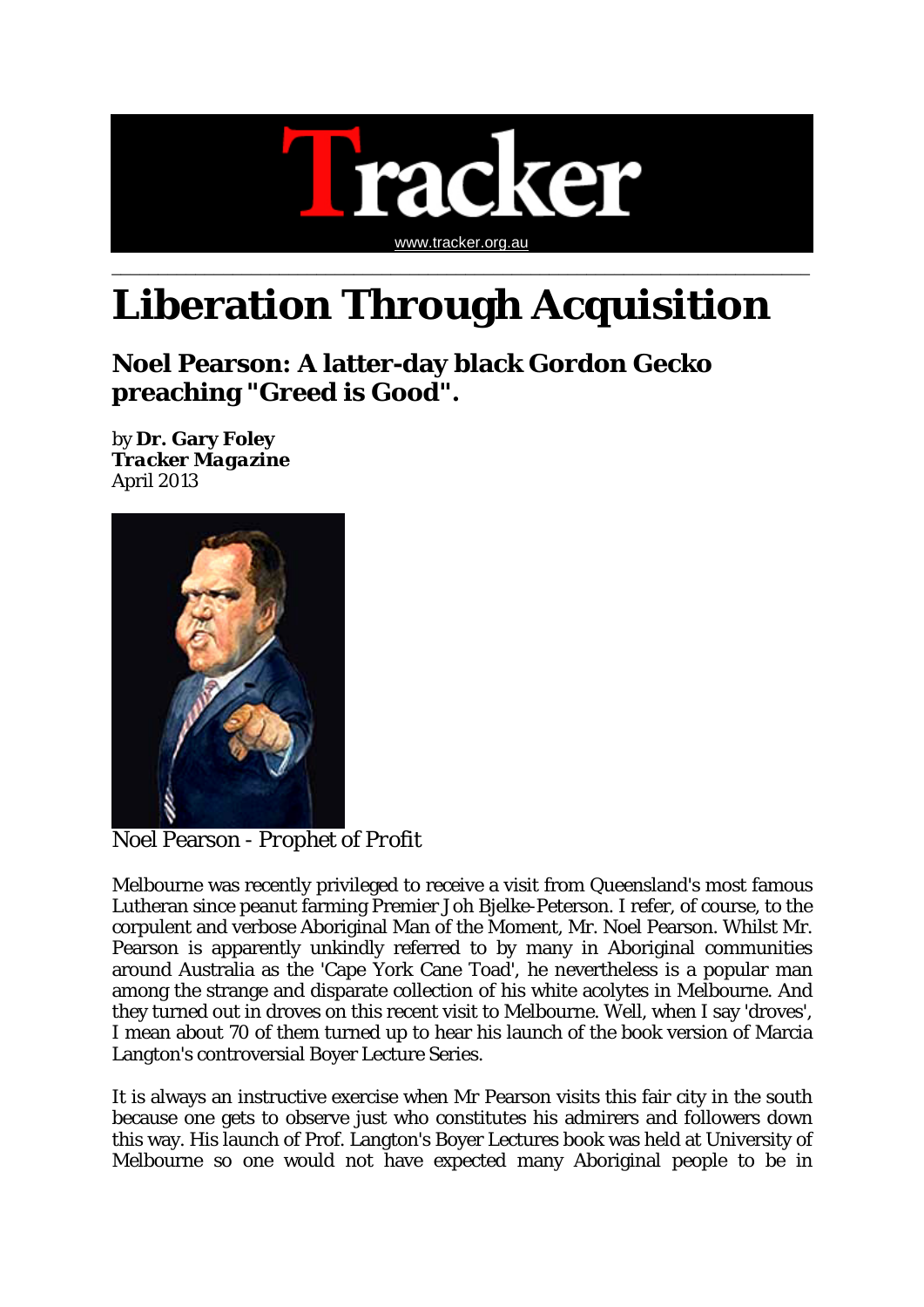

## **Liberation Through Acquisition**

**Noel Pearson: A latter-day black Gordon Gecko preaching "Greed is Good".**

by **Dr. Gary Foley** *Tracker Magazine* April 2013



Noel Pearson - *Prophet of Profit*

Melbourne was recently privileged to receive a visit from Queensland's most famous Lutheran since peanut farming Premier Joh Bjelke-Peterson. I refer, of course, to the corpulent and verbose Aboriginal Man of the Moment, Mr. Noel Pearson. Whilst Mr. Pearson is apparently unkindly referred to by many in Aboriginal communities around Australia as the 'Cape York Cane Toad', he nevertheless is a popular man among the strange and disparate collection of his white acolytes in Melbourne. And they turned out in droves on this recent visit to Melbourne. Well, when I say 'droves', I mean about 70 of them turned up to hear his launch of the book version of Marcia Langton's controversial Boyer Lecture Series.

It is always an instructive exercise when Mr Pearson visits this fair city in the south because one gets to observe just who constitutes his admirers and followers down this way. His launch of Prof. Langton's Boyer Lectures book was held at University of Melbourne so one would not have expected many Aboriginal people to be in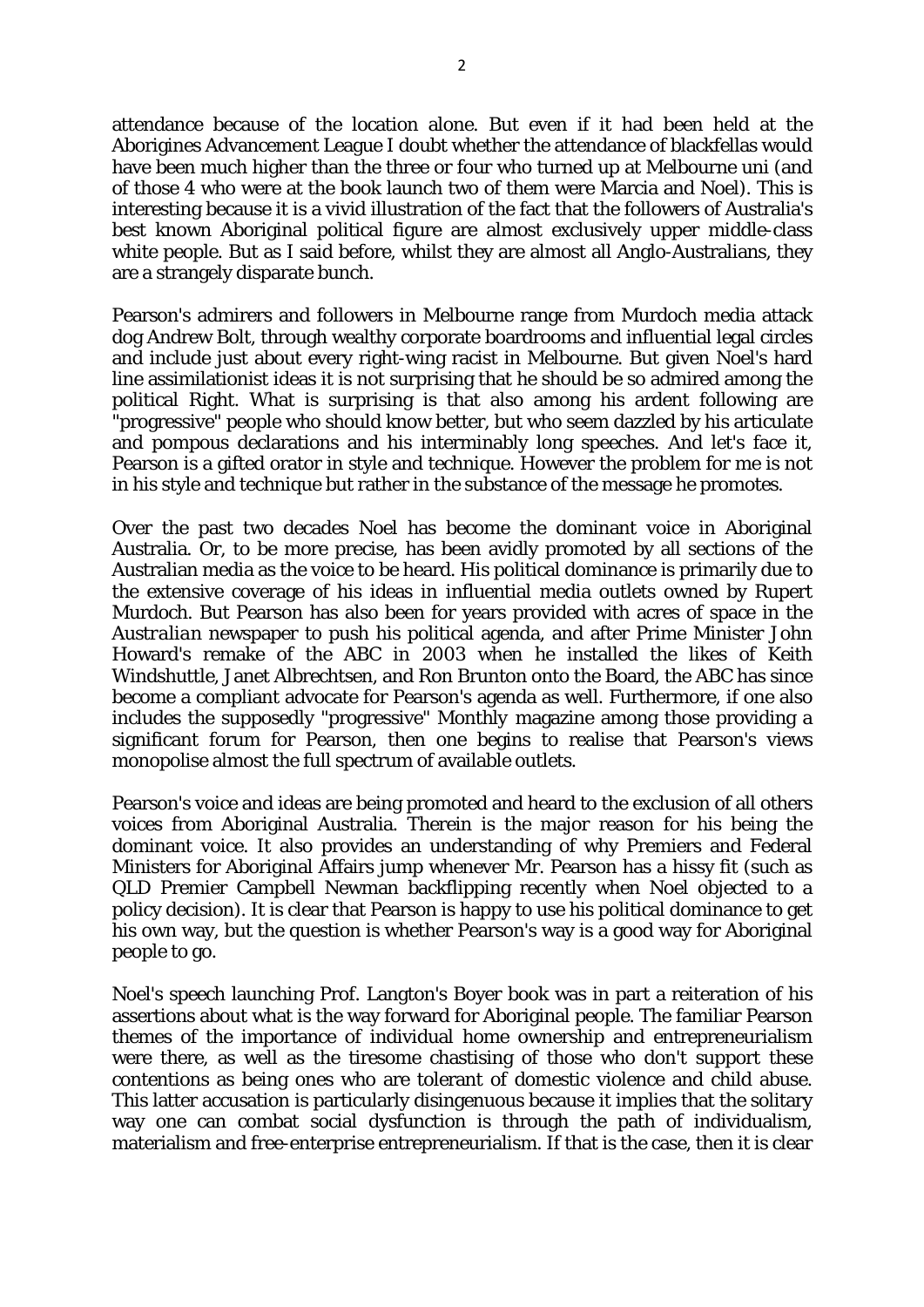attendance because of the location alone. But even if it had been held at the Aborigines Advancement League I doubt whether the attendance of blackfellas would have been much higher than the three or four who turned up at Melbourne uni (and of those 4 who were at the book launch two of them were Marcia and Noel). This is interesting because it is a vivid illustration of the fact that the followers of Australia's best known Aboriginal political figure are almost exclusively upper middle-class white people. But as I said before, whilst they are almost all Anglo-Australians, they are a strangely disparate bunch.

Pearson's admirers and followers in Melbourne range from Murdoch media attack dog Andrew Bolt, through wealthy corporate boardrooms and influential legal circles and include just about every right-wing racist in Melbourne. But given Noel's hard line assimilationist ideas it is not surprising that he should be so admired among the political Right. What is surprising is that also among his ardent following are "progressive" people who should know better, but who seem dazzled by his articulate and pompous declarations and his interminably long speeches. And let's face it, Pearson is a gifted orator in style and technique. However the problem for me is not in his style and technique but rather in the substance of the message he promotes.

Over the past two decades Noel has become the dominant voice in Aboriginal Australia. Or, to be more precise, has been avidly promoted by all sections of the Australian media as the voice to be heard. His political dominance is primarily due to the extensive coverage of his ideas in influential media outlets owned by Rupert Murdoch. But Pearson has also been for years provided with acres of space in the *Australian* newspaper to push his political agenda, and after Prime Minister John Howard's remake of the ABC in 2003 when he installed the likes of Keith Windshuttle, Janet Albrechtsen, and Ron Brunton onto the Board, the ABC has since become a compliant advocate for Pearson's agenda as well. Furthermore, if one also includes the supposedly "progressive" *Monthly* magazine among those providing a significant forum for Pearson, then one begins to realise that Pearson's views monopolise almost the full spectrum of available outlets.

Pearson's voice and ideas are being promoted and heard to the exclusion of all others voices from Aboriginal Australia. Therein is the major reason for his being the dominant voice. It also provides an understanding of why Premiers and Federal Ministers for Aboriginal Affairs jump whenever Mr. Pearson has a hissy fit (such as QLD Premier Campbell Newman backflipping recently when Noel objected to a policy decision). It is clear that Pearson is happy to use his political dominance to get his own way, but the question is whether Pearson's way is a good way for Aboriginal people to go.

Noel's speech launching Prof. Langton's Boyer book was in part a reiteration of his assertions about what is the way forward for Aboriginal people. The familiar Pearson themes of the importance of individual home ownership and entrepreneurialism were there, as well as the tiresome chastising of those who don't support these contentions as being ones who are tolerant of domestic violence and child abuse. This latter accusation is particularly disingenuous because it implies that the solitary way one can combat social dysfunction is through the path of individualism, materialism and free-enterprise entrepreneurialism. If that is the case, then it is clear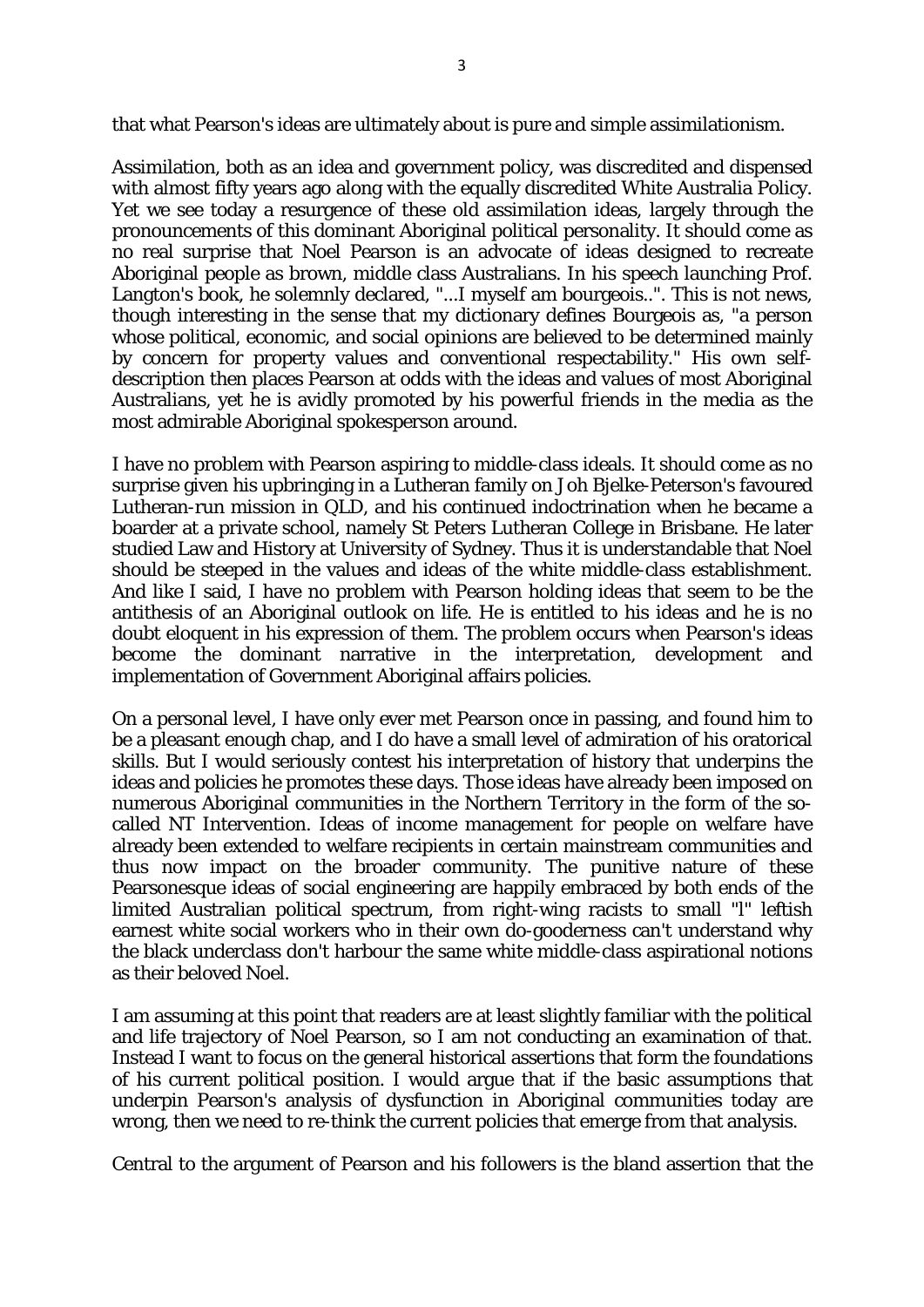that what Pearson's ideas are ultimately about is pure and simple assimilationism.

Assimilation, both as an idea and government policy, was discredited and dispensed with almost fifty years ago along with the equally discredited White Australia Policy. Yet we see today a resurgence of these old assimilation ideas, largely through the pronouncements of this dominant Aboriginal political personality. It should come as no real surprise that Noel Pearson is an advocate of ideas designed to recreate Aboriginal people as brown, middle class Australians. In his speech launching Prof. Langton's book, he solemnly declared, "...I myself am bourgeois..". This is not news, though interesting in the sense that my dictionary defines Bourgeois as, "a person whose political, economic, and social opinions are believed to be determined mainly by concern for property values and conventional respectability." His own selfdescription then places Pearson at odds with the ideas and values of most Aboriginal Australians, yet he is avidly promoted by his powerful friends in the media as the most admirable Aboriginal spokesperson around.

I have no problem with Pearson aspiring to middle-class ideals. It should come as no surprise given his upbringing in a Lutheran family on Joh Bjelke-Peterson's favoured Lutheran-run mission in QLD, and his continued indoctrination when he became a boarder at a private school, namely St Peters Lutheran College in Brisbane. He later studied Law and History at University of Sydney. Thus it is understandable that Noel should be steeped in the values and ideas of the white middle-class establishment. And like I said, I have no problem with Pearson holding ideas that seem to be the antithesis of an Aboriginal outlook on life. He is entitled to his ideas and he is no doubt eloquent in his expression of them. The problem occurs when Pearson's ideas become the dominant narrative in the interpretation, development and implementation of Government Aboriginal affairs policies.

On a personal level, I have only ever met Pearson once in passing, and found him to be a pleasant enough chap, and I do have a small level of admiration of his oratorical skills. But I would seriously contest his interpretation of history that underpins the ideas and policies he promotes these days. Those ideas have already been imposed on numerous Aboriginal communities in the Northern Territory in the form of the socalled NT Intervention. Ideas of income management for people on welfare have already been extended to welfare recipients in certain mainstream communities and thus now impact on the broader community. The punitive nature of these Pearsonesque ideas of social engineering are happily embraced by both ends of the limited Australian political spectrum, from right-wing racists to small "l" leftish earnest white social workers who in their own do-gooderness can't understand why the black underclass don't harbour the same white middle-class aspirational notions as their beloved Noel.

I am assuming at this point that readers are at least slightly familiar with the political and life trajectory of Noel Pearson, so I am not conducting an examination of that. Instead I want to focus on the general historical assertions that form the foundations of his current political position. I would argue that if the basic assumptions that underpin Pearson's analysis of dysfunction in Aboriginal communities today are wrong, then we need to re-think the current policies that emerge from that analysis.

Central to the argument of Pearson and his followers is the bland assertion that the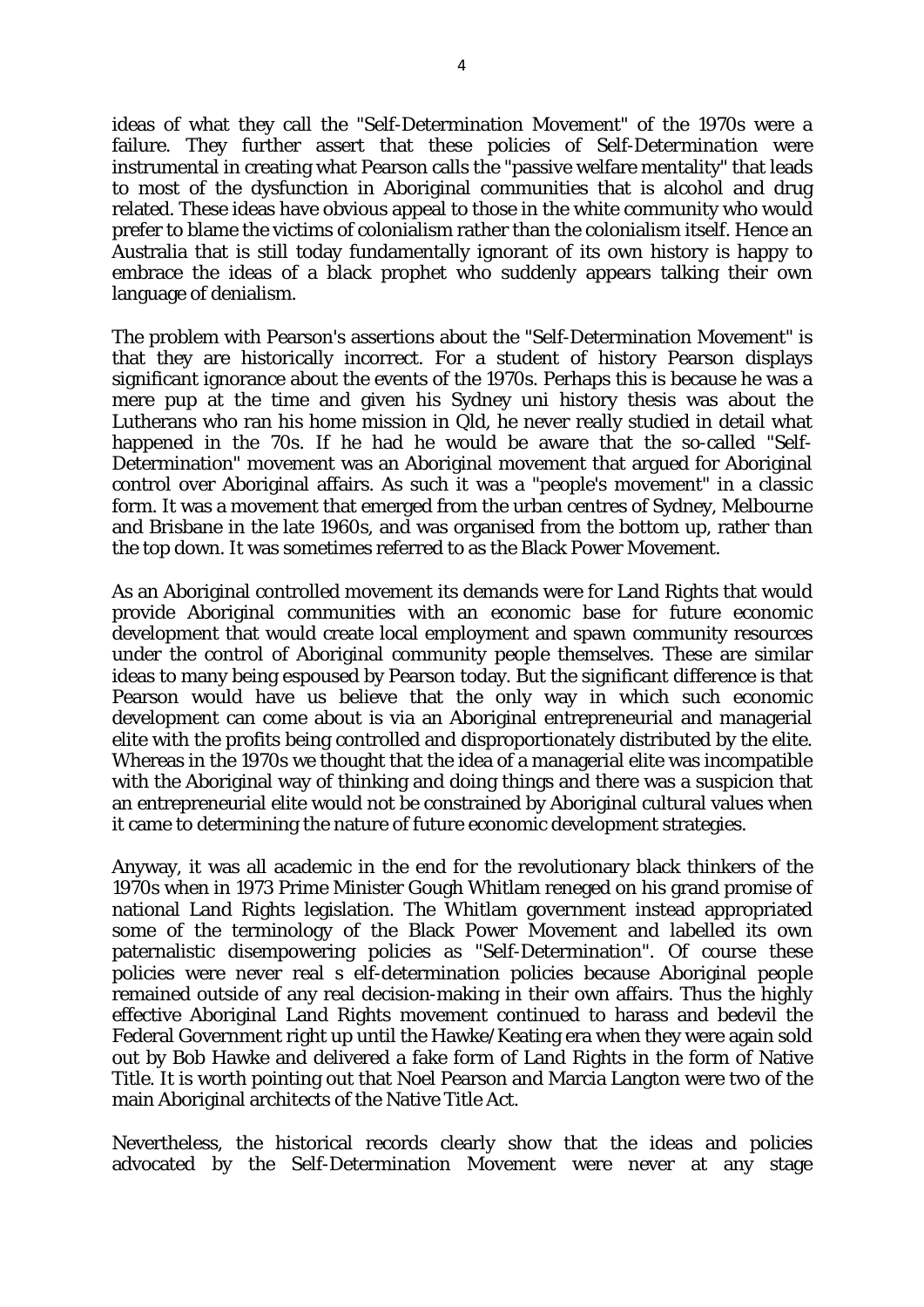ideas of what they call the "Self-Determination Movement" of the 1970s were a failure. They further assert that these policies of *Self-Determination* were instrumental in creating what Pearson calls the "passive welfare mentality" that leads to most of the dysfunction in Aboriginal communities that is alcohol and drug related. These ideas have obvious appeal to those in the white community who would prefer to blame the victims of colonialism rather than the colonialism itself. Hence an Australia that is still today fundamentally ignorant of its own history is happy to embrace the ideas of a black prophet who suddenly appears talking their own language of denialism.

The problem with Pearson's assertions about the "Self-Determination Movement" is that they are historically incorrect. For a student of history Pearson displays significant ignorance about the events of the 1970s. Perhaps this is because he was a mere pup at the time and given his Sydney uni history thesis was about the Lutherans who ran his home mission in Qld, he never really studied in detail what happened in the 70s. If he had he would be aware that the so-called "Self-Determination" movement was an Aboriginal movement that argued for Aboriginal control over Aboriginal affairs. As such it was a "people's movement" in a classic form. It was a movement that emerged from the urban centres of Sydney, Melbourne and Brisbane in the late 1960s, and was organised from the bottom up, rather than the top down. It was sometimes referred to as the Black Power Movement.

As an Aboriginal controlled movement its demands were for Land Rights that would provide Aboriginal communities with an economic base for future economic development that would create local employment and spawn community resources under the control of Aboriginal community people themselves. These are similar ideas to many being espoused by Pearson today. But the significant difference is that Pearson would have us believe that the only way in which such economic development can come about is via an Aboriginal entrepreneurial and managerial elite with the profits being controlled and disproportionately distributed by the elite. Whereas in the 1970s we thought that the idea of a managerial elite was incompatible with the Aboriginal way of thinking and doing things and there was a suspicion that an entrepreneurial elite would not be constrained by Aboriginal cultural values when it came to determining the nature of future economic development strategies.

Anyway, it was all academic in the end for the revolutionary black thinkers of the 1970s when in 1973 Prime Minister Gough Whitlam reneged on his grand promise of national Land Rights legislation. The Whitlam government instead appropriated some of the terminology of the Black Power Movement and labelled its own paternalistic disempowering policies as "Self-Determination". Of course these policies were never real s elf-determination policies because Aboriginal people remained outside of any real decision-making in their own affairs. Thus the highly effective Aboriginal Land Rights movement continued to harass and bedevil the Federal Government right up until the Hawke/Keating era when they were again sold out by Bob Hawke and delivered a fake form of Land Rights in the form of Native Title. It is worth pointing out that Noel Pearson and Marcia Langton were two of the main Aboriginal architects of the Native Title Act.

Nevertheless, the historical records clearly show that the ideas and policies advocated by the Self-Determination Movement were never at any stage